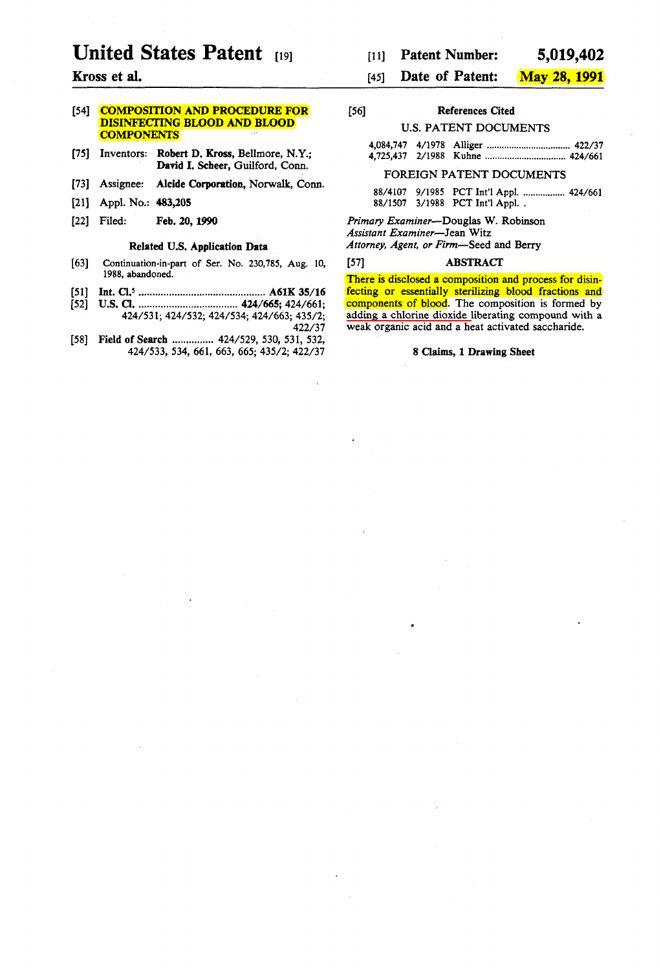# **United States Patent** [19]

# Kross et al.

# [54] **COMPOSITION AND PROCEDURE FOR** DISINFECTING BLOOD AND BLOOD **COMPONENTS**

- [75] Inventors: Robert D. Kross, BelImore, N.Y.; David l. Scheer, Guilford, Conn.
- [73] Assignee: Alcide Corporation, Norwalk, Conn.
- [21] Appl. No.: 483,205
- [22] Filed: Feb. 20, 1990

# Related U.S. Application Data

- [63] Continuation-in-part of Ser. No. 230,785, Aug. 10, 1988, abandoned.
- [51] Int. CI.' .............................................. A61K 35/16
- [52] U.S. CI •.................................... 424/665; 424/661; 424/531;424/532;424/534;424/663;435/2; 422/37
- [58] Field of Search ............... 424/529, 530, 531, 532, 424/533, 534, 661, 663, 665; 435/2; 422/37

#### [45] Date of Patent: May 28,1991

| [56] | <b>References Cited</b> |  |  |  |
|------|-------------------------|--|--|--|
|      | IIS PATENT DOCUMENTS    |  |  |  |

|  | U.S. FATENT DOCUMENTS |  |
|--|-----------------------|--|
|  |                       |  |

#### FOREIGN PATENT DOCUMENTS

88/4107 9/1985 PCT Int'l Appl. .................. 424/661 88/1507 3/1988 PCT Int'l Appl. .

*Primary Examiner-Douglas* W. Robinson *Assistant Examiner-Jean* Witz *Attorney, Agent, or Firm-Seed* and Berry

#### [57] **ABSTRACT**

There is disclosed a composition and process for disinfecting or essentially sterilizing blood fractions and components of blood. The composition is formed by adding a chlorine dioxide liberating compound with a weak organic acid and a heat activated saccharide.

#### 8 CIaims, 1 Drawing Sheet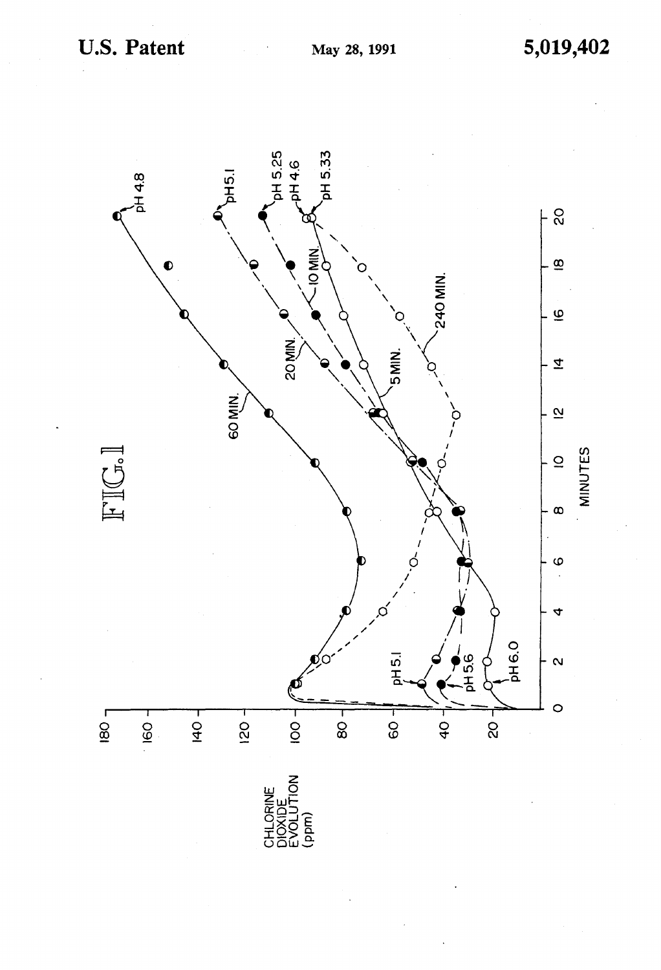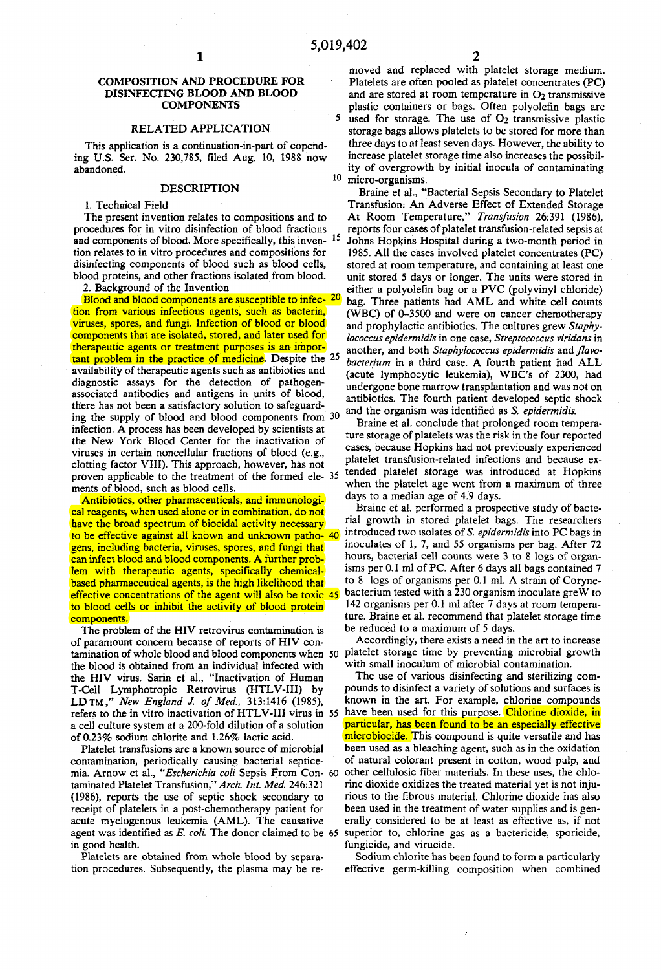#### COMPOSITION AND PROCEDURE FOR DlSINFECfING BLOOD AND BLOOD COMPONENTS

#### RELATED APPLICATION

This application is a continuation-in-part of copending U.S. Ser. No. 230,785, filed Aug. 10, 1988 now abandoned.

#### DESCRIPTION

1. Technical Field

The present invention relates to compositions and to procedures for in vitro disínfectíon of blood fractions and components of blood. More specifically, this inven- <sup>15</sup> tion relates to in vitro procedures and compositions for disinfecting components of blood such as blood celIs, blood proteins, and other fractions isolated from blood.

2. Background of the Invention

Blood and blood components are susceptible to infec- 20 tion from various infectious agents, such as bacteria, viruses, spores, and fungí. Infection of blood or blood components that are isolated, stored, and later used for therapeutic agents or treatment purposes is an important problem in the practice of medicine. Despite the 25 availabilíty of therapeutic agents such as antibiotícs and díagnostíc assays for the detection of pathogenassociated antibodíes and antigens in units of blood, there has not been a satisfactory solution to safeguarding the supply of blood and blood components from 30 infection. A process has been developed by scientists at the New York Blood Center for the inactivation of viruses ín certain noncelIular fractíons of blood (e.g., clotting factor VIII). This approach, however, has not proven applícable to the treatment of the formed ele- 35 ments of blood, such as blood celIs.

Antíbiotics, other pharmaceutícals, and ímmunological reagents, when used alone or in combination, do not have the broad spectrum of biocidal activity necessary to be effective against alI known and unknown patho- 40 gens, including bacteria, viruses, spores, and fungí that can infect blood and blood components. A further problem with therapeutic agents, specifically chemicalbased pharmaceutical agents, is the high likelihood that effective concentrations of the agent will also be toxic 45 to blood cells or inhibit the activity of blood protein components.

The problem of the HIV retrovirus contamination is of paramount concem because of reports of HIV contamination of whole blood and blood components when 50 the blood is obtained from an individual infected wíth the HIV virus. Sarin et al., "Inactivation of Human T-Cell Lymphotropíc Retrovirus (HTLV-I1I) by LDTM ," *New England* J. *01 Med.,* 313:1416 (1985), refers to the in vitro inactivation of HTLV-III virus in 55 have been used for this purpose. Chlorine dioxide, in a celI culture system at a 200-fold dilutíon of a solution of 0.23% sodium chlorite and 1.26% lactic acid.

Platelet transfusions are a known source of microbial contamination, periodicalIy causing bacterial septicemia. Amow et al., *"Escherichia coli* Sepsis From Con- 60 taminated Platelet Transfusion," *Arch. Int. Med. 246:321*  (1986), reports the use of septic shock secondary to receipt of platelets in a post-chemotherapy patient for acute myelogenous leukemia (AML). The causative agent was identified as *E. coli.* The donor claimed to be 65 superior to, chlorine gas as a bactericide, sporicide, in good health.

Platelets are obtained from whole blood by separation procedures. Subsequently, the plasma may be re2

moved and replaced with platelet storage medium. Platelets are often pooled as platelet concentrates (PC) and are stored at room temperature in  $O<sub>2</sub>$  transmissive plastic contaíners or bags. Often polyolefin bags are 5 used for storage. The use of  $O<sub>2</sub>$  transmissive plastic storage bags allows platelets to be stored for more than three days to at least seven days. However, the ability to increase platelet storage time also increases the possibility of overgrowth by initial inocula of contaminating 10 micro-organisms.

Braine et al., "Bacterial Sepsis Secondary to Platelet Transfusion: An Adverse Effect of Extended Storage At Room Temperature," *Translusion* 26:391 (1986), reports four cases of platelet transfusion-related sepsis at Johns Hopkins Hospital during a two-month period in 1985. All the cases involved platelet concentrates (PC) stored at room temperature, and containing at least one unit stored 5 days or longer. The units were stored in either a polyolefin bag or a PVC (polyvinyl chloride) bag. Three patients had AML and white cell counts (WBC) of 0-3500 and were on cancer chemotherapy and prophylactic antibiotics. The cultures grew *Staphylococcus epidermidis* in one case, *Streptococcus viridans* in another, and both *Staphylococcus epidermidis* and *flavobacterium* in a third case. A fourth patient had ALL (acute Iymphocytic leukemia), WBC's of 2300, had undergone bone marrow transplantation and was not on antibiotics. The fourth patient developed septic shock and the organism was identified as *S. epidermidis.* 

Braine et al. concIude that prolonged room temperature storage of platelets was the risk in the four reported cases, because Hopkins had not previously experienced platelet transfusion-related infections and because extended platelet storage was introduced at Hopkins when the platelet age went from a maximum of three days to a median age of 4:9 days.

Braine et al. performed a prospective study of bacterial growth in stored platelet bags. The researchers introduced two isolates of *S. epidermidis* into PC bags in inoculates of 1, 7, and 55 organisms per bag. After 72 hours, bacterial cell counts were 3 to 8 logs of organisms per 0.1 ml of PC. After 6 days all bags contained 7 to 8 logs of organisms per 0.1 mI. A strain of Corynebacterium tested with a 230 organísm inoculate greW to 142 organisms per 0.1 mi after 7 days at room temperature. Braine et al. recommend that platelet storage time be reduced to a maximum of 5 days.

Accordingly, there exists a need in the art to increase platelet storage time by preventing microbial growth with small inoculum of microbial contamination.

The use of various disinfecting and sterilizing compounds to disinfect a variety of solutions and surfaces is known in the art. For example, chlorine compounds particular, has been found to be an especially effective microbiocide. This compound is quite versatile and has been used as a bleaching agent, such as in the oxidation of natural colorant present in cotton, wood pulp, and other cellulosic fiber materials. In these uses, the chlorine dioxide oxidizes the treated material yet is not injurious to the fibrous material. Chlorine dioxide has also been used in the treatment of water supplies and is generalIy considered to be at least as effective as, if not fungicide, and virucide.

Sodium chlorite has been found to form a particularIy effective germ-killing composition when combined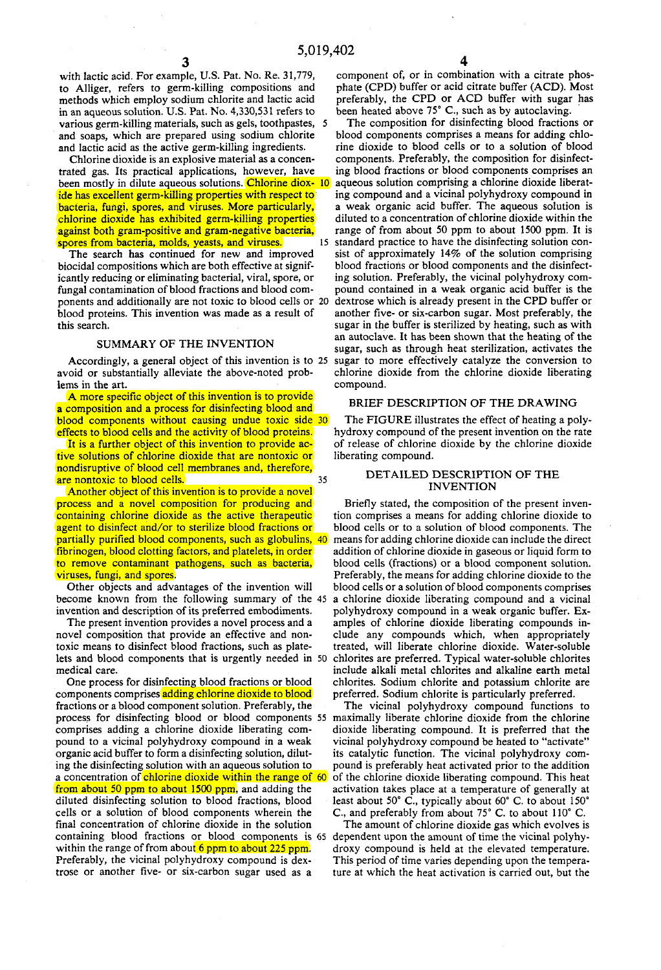with lactic acid. For example, U.S. Pat. No. Re. 31,779, to Alliger, refers to germ-kiJling compositions and methods which employ sodium chlorite and lactic acid in an aqueous solution. U.S. Pat. No. 4,330,531 refers to various germ-killing materials, such as gels, toothpastes, 5 and soaps, which are prepared using sodium chlorite and lactic acid as the active germ-killing ingredients.

3

Chlorine dioxide is an explosive material as a concentrated gas. Its practical applications, however, have been mostly in dilute aqueous solutions. Chlorine diox- 10 ide has excellent germ-killing properties with respect to bacteria, fungi, spores, and viruses. More particularIy, chlorine dioxide has exhibited germ-kiJling properties against both gram-positive and gram-negative bacteria, spores from bacteria, molds, yeasts, and viruses.

The search has continued for new and improved biocidal compositions which are both effective at significantIy reducing or eliminating bacterial, viral, spore, or fungal contamination of blood fractions and blood components and additionalIy are not toxic to blood celIs or 20 blood proteins. This invention was made as a result of this search.

## SUMMARY OF THE INVENTION

Accordingly, a general object of this invention is to 25 avoid or substantiaIly alleviate the above-noted problems in the art.

A more specific object of this invention is to provide a composition and a process for disinfecting blood and blood components without causing undue toxic side 30 effects to blood cells and the activity of blood proteins.

It is a further object of this invention to provide active solutions of chlorine dioxide that are nontoxic or nondisruptive of blood celI membranes and, therefore, are nontoxic to blood cells. 35

Another object of this invention is to provide a novel process and a novel composition for producing and containing chlorine dioxide as the active therapeutic agent to disinfect and/or to sterilize blood fractions or partialIy purified blood components, such as globulins, 40 fibrinogen, blood cIotting factors, and platelets, in order to remove contaminant pathogens, such as bacteria, viruses, fungi, and spores.

Other objects and advantages of the invention will become known from the following summary of the 45 invention and description of its preferred embodiments.

The present invention provides a novel process and a novel composition that provide an effective and nontoxic means to disinfect blood fractions, such as platelets and blood components that is urgently needed in 50 medical care.

One process for disinfecting blood fractions or blood components comprises adding chlorine dioxide to blood fractions or a blood component solution. Preferably, the process for disinfecting blood or blood components 55 maximalIy liberate chlorine dioxide from the chlorine comprises adding a chlorine dioxide liberating compound to a vicinal polyhydroxy compound in a weak organic acid buffer to form a disinfecting solution, diluting the disinfecting solution with an aqueous solution to a concentration of chlorine dioxide within the range of 60 from about 50 ppm to about 1500 ppm, and adding the diluted disinfecting solution to blood fractions, blood cells or a solution of blood components wherein the final concentration of chlorine dioxide in the solution containing blood fractions or blood components is 65 dependent upon the amount of time the vicinal polyhywithin the range of from about  $6$  ppm to about 225 ppm. Preferably, the vicinal polyhydroxy compound is dextrose or another five- or six-carbon sugar used as a

component of, or in combination with a citrate phosphate (CPD) buffer or acid citrate buffer (ACD). Most preferably, the CPD or ACD buffer with sugar has been heated above 75° C., such as by autoclaving.

The composition for disinfecting blood fractions or blood components comprises a means for adding chlorine dioxide to blood cells or to a solution of blood components. Preferably, the composition for disinfecting blood fractions or blood components comprises an aqueous solution comprising a chlorine dioxide liberating compound and a vicinal polyhydroxy compound in a weak organic acid buffer. The aqueous solution is diluted to a concentration of chlorine dioxide within the range of from about 50 ppm to about 1500 ppm. It is 15 standard practice to have the disinfecting solution consist of approximately 14% of the solution comprising blood fractions or blood components and the disinfecting solution. Preferably, the vicinal polyhydroxy compound contained in a weak organic acid buffer is the dextrose which is already present in the CPD buffer or another five- or six-carbon sugar. Most preferably, the sugar in the buffer is sterilized by heating, such as with an autoclave. It has been shown that the heating of the sugar, such as through heat sterilization, activates the sugar to more effectively catalyze the conversion to chlorine dioxide from the chlorine dioxide liberating compound.

#### BRIEF DESCRIPTION OF THE DRAWING

The FIGURE ilIustrates the effect of heating a polyhydroxy compound of the present invention on the rate of release of chlorine dioxide by the chlorine dioxide liberating compound.

### DET AILED DESCRIPTION OF THE **INVENTION**

Briefly stated, the composition of the present invention comprises a means for adding chlorine dioxide to blood celIs or to a solution of blood components. The means for adding chlorine dioxide can include the direct addition of chlorine dioxide in gaseous or liquid form to blood celIs (fractions) or a blood component solution. Preferably, the means for adding chlorine dioxide to the blood cells or a solution of blood components comprises a chlorine dioxide liberating compound and a vicinal polyhydroxy compound in a weak organic buffer. Examples of chlorine dioxide liberating compounds include any compounds which, when appropriately treated, will liberate chlorine dioxide. Water-soluble chlorites are preferred. Typical water-soluble chlorites include alkali metal chlorites and alkaline earth metal chlorites. Sodium chlorite and potassium chlorite are preferred. Sodium chlorite is particularIy preferred.

The vicinal polyhydroxy compound functions to dioxide liberating compound. It is preferred that the vicinal polyhydroxy compound be heated to "activate" its catalytic function. The vicinal polyhydroxy compound is preferably heat activated prior to the addition of the chlorine dioxide liberating compound. This heat activation takes place at a temperature of generally at least about 50° C., typically about 60° C. to about 150° c., and preferably from about 75° C. to about 110° C.

The amount of chlorine dioxide gas which evolves is droxy compound is held at the elevated temperature. This period of time varies depending upon the temperature at which the heat activation is carried out, but the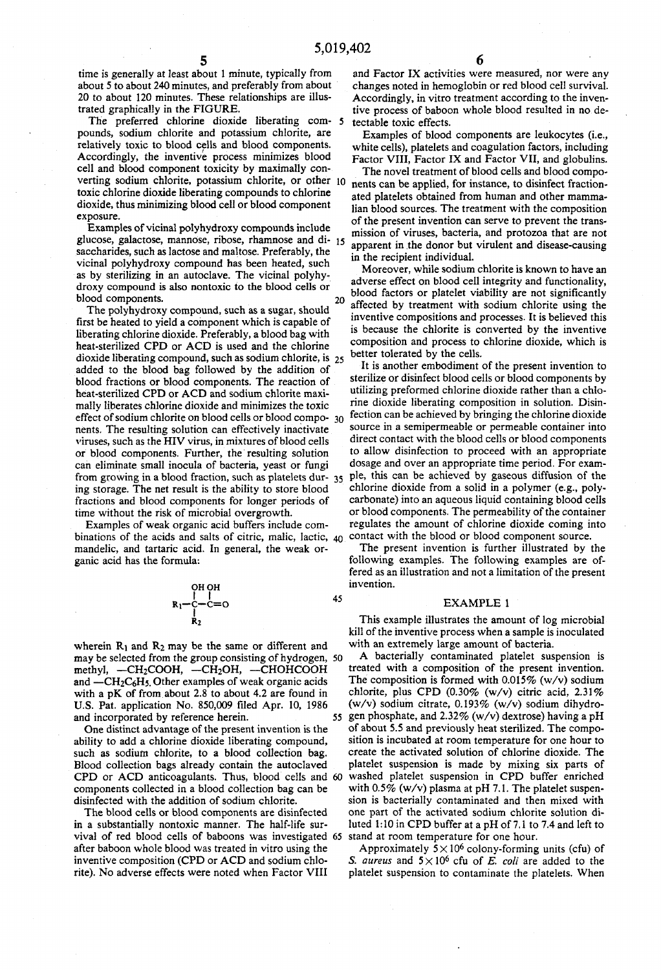time is generaIly at least about 1 minute, typically from about 5 to about 240 minutes, and preferably from about 20 to about 120 minutes. These relationships are iIIustrated graphically in the FIGURE.

The preferred chlorine dioxide liberating com- *S*  pounds, sodium chlorite and potassium chlorite, are relatively toxic to blood cells and blood components. Accordingly, the inventive process minimizes blood celI and blood component toxicity by maximalIy converting sodium chlorite, potassium chlorite, or other 10 toxic chlorine dioxide liberating compounds to chlorine dioxide, thus minimizing blood ceIl or blood component exposure.

Examples of vicinal polyhydroxy compounds include glucose, galactose, mannose, ribose, rhamnose and di- 15 saccharides, such as lactose and maltose. Preferably, the vicinal polyhydroxy compound has been heated, such as by sterilizing in an autoclave. The vicinal polyhydroxy compound is aIso nontoxic to the blood cells or blood components. 20

The polyhydroxy compound, such as a sugar, should first be heated to yield a component which is capable of liberating chlorine dioxide. Preferably, a blood bag with heat-sterilized CPD or ACD is used and the chlorine dioxide liberating compound, such as sodium chlorite, is 25 added to the blood bag folIowed by the addition of blood fractions or blood components. The reaction of heat-sterilized CPD or ACD and sodium chlorite maximally liberates chlorine dioxide and minimizes the toxic effect of sodium chlorite on blood celIs or blood compo- 30 nents. The resulting solution can effectively inactivate viruses, such as the HIV virus, in mixtures of blood cells or blood components. Further, the resulting solution can eliminate smalI inocula of bacteria, yeast or fungi from growing in a blood fraction, such as platelets dur- 35 ing storage. The net result is the ability to store blood fractions and blood components for Ionger periods of time without the risk of microbial overgrowth.

Examples of weak organic acid buffers inelude combinations of the acids and salts of citric, malic, lactic,  $40$ mandelic, and tartaric acid. In general, the weak organic acid has the formula:

$$
\begin{array}{c}\n\text{OH OH} \\
\mid \\
\text{R}_1-\text{C}=0 \\
\mid \\
\text{R}_2\n\end{array}
$$

45

wherein  $R_1$  and  $R_2$  may be the same or different and may be selected from the group consisting of hydrogen, 50 methyl,  $-CH_2COOH$ ,  $-CH_2OH$ ,  $-CHOHCOOH$ and  $-CH_2C_6H_5$ . Other examples of weak organic acids with a pK of from about 2.8 to about 4.2 are found in U.S. Pat. application No. 850,009 filed Apr. 10, 1986 and incorporated by reference herein.

One distinct advantage of the present invention is the ability to add a chlorine dioxide liberating compound, such as sodium chlorite, to a blood collection bag. Blood coIlection bags already contain the autoclaved CPD or ACD anticoagulants. Thus, blood cells and 60 components coIlected in a blood collection bag can be disinfected with the addition of sodium chlorite.

The blood cells or blood components are disinfected in a substantially nontoxic manner. The half-life survival of red blood cells of baboons was investigated 65 stand at room temperature for one hour. after baboon whole blood was treated in vitro using the inventive composition (CPD or ACD and sodium chlorite). No adverse effects were noted when Factor VIII

and Factor IX activities were measured, nor were any changes noted in hemoglobin or red blood cell survival. Accordingly, in vitro treatment according to the inventive process of baboon whole blood resuIted in no detectable toxic effects.

Examples of blood components are leukocytes (i.e., white cells), platelets and coagulation factors, including Factor VIII, Factor IX and Factor VII, and globulins.

The novel treatment of blood ceIls and blood components can be applied, for instance, to disinfect fractionated platelets obtained from human and other mammalian blood sources. The treatment with the composition of the present invention can serve to prevent the transmission of viruses, bacteria, and protozoa that are not apparent in .the donor but virulent and disease-causing in the recipient individual.

Moreover, while sodium chlorite is known to have an adverse effect on blood ceIl integrity and functionality, blood factors or platelet viability are not significantly affected by treatment with sodium chlorite using the inventive compositions and processes. It is believed this is because the chlorite is converted by the inventive composition and process to chlorine dioxide, which is better tolerated by the cells.

It is another embodiment of the present invention to sterilize or disinfect blood cells or blood components by utilizing preformed chlorine dioxide rather than a chlorine dioxide Iiberatíng composition in solution. Disinfection can be achieved by bringing the chlorine dioxide source in a semipermeable or permeable container into direct contact with the blood cells or blood components to aIlow disinfection to proceed with an appropriate dosage and over an appropriate time period. For exampIe, this can be achieved by gaseous diffusion of the chlorine dioxide from a solid in a polymer (e.g., polycarbonate) into an aqueous liquid containing blood ceIls or blood components. The permeability of the container regulates the amount of chlorine dioxide coming into contact with the blood or blood component source.

The present invention is further illustrated by the following examples. The following examples are offered as an illustration and not a limitation of the present invention.

#### EXAMPLE 1

This example illustrates the amount of log microbial kili of the inventive process when a sample is inoculated with an extremely large amount of bacteria.

A bacteriaIly contaminated platelet suspension is treated with a composition of the present invention. The composition is formed with  $0.015\%$  (w/v) sodium chlorite, plus CPD  $(0.30\%$  (w/v) citric acid,  $2.31\%$ (w/v) sodium citrate, 0.193% (w/v) sodium dihydro-55 gen phosphate, and 2.32% (w/v) dextrose) having a pH of about 5.5 and previously heat sterilized. The composition is incubated at room temperature for one hour to create the activated solution of chlorine dioxide. The platelet suspension is made by mixing six parts of washed platelet suspension in CPD buffer enriched with  $0.5\%$  (w/v) plasma at pH 7.1. The platelet suspension is bacterialIy contaminated and then mixed with one part of the activated sodium chlorite solution diluted 1:10 in CPD buffer at a pH of 7.1 to 7.4 and left to

Approximately  $5 \times 10^6$  colony-forming units (cfu) of S. *aureus* and  $5 \times 10^6$  cfu of E. *coli* are added to the platelet suspension to contaminate the platelets. When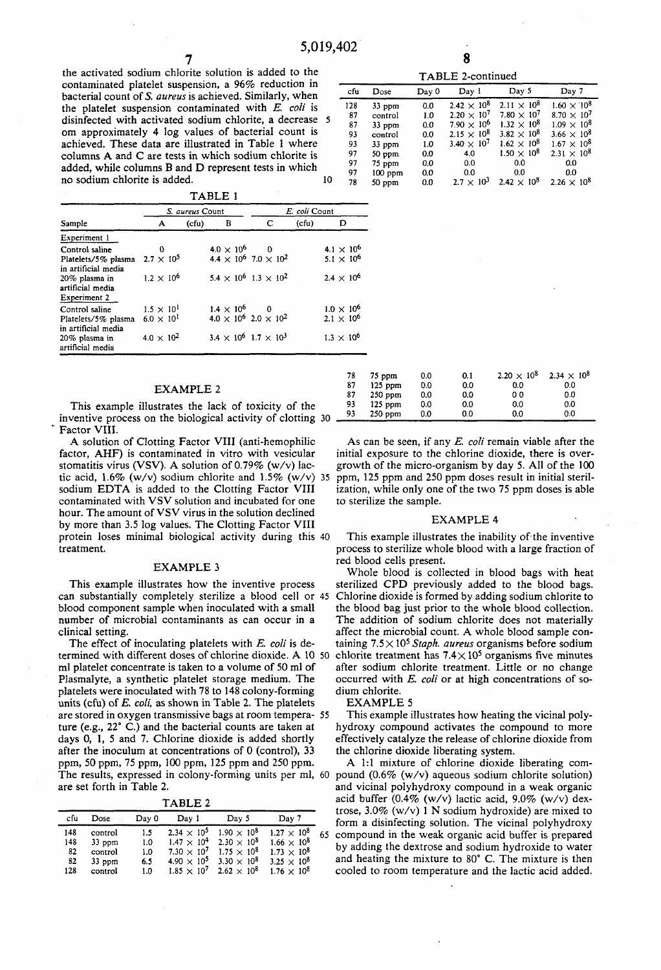7 8

the activated sodium chlorite solution is added to the contaminated platelet suspension, a 96% reduction in bacterial count of S. *aureus* is achieved. Similarly, when the platelet suspension contaminated with *E. coli* is disinfected with activated sodium chlorite, a decrease 5 om approximately 4 log values of bacterial count is achieved. These data are illustrated in Table 1 where columns A and C are tests in which sodium chlorite is added, while columns B and D represent tests in which no sodium chlorite is added. 10 10

| .                                                 |                     |       |                                     |               |  |       |                     |
|---------------------------------------------------|---------------------|-------|-------------------------------------|---------------|--|-------|---------------------|
|                                                   | S. aureus Count     |       |                                     | E. coli Count |  |       |                     |
| Sample                                            | A                   | (cfu) | в                                   | c             |  | (cfu) | D                   |
| Experiment 1                                      |                     |       |                                     |               |  |       |                     |
| Control saline                                    | $\Omega$            |       | $4.0 \times 10^6$ 0                 |               |  |       | $4.1 \times 10^{6}$ |
| Platelets/5% plasma<br>in artificial media        | $2.7 \times 10^{5}$ |       | $4.4 \times 10^6$ 7.0 $\times 10^2$ |               |  |       | $5.1 \times 10^{6}$ |
| 20% plasma in<br>artificial media<br>Experiment 2 | $1.2 \times 10^{6}$ |       | $5.4 \times 10^6$ $1.3 \times 10^2$ |               |  |       | $2.4 \times 10^{6}$ |
| Control saline                                    | $1.5 \times 10^{1}$ |       | $1.4 \times 10^6$ 0                 |               |  |       | $1.0 \times 10^{6}$ |
| Platelets/5% plasma<br>in artificial media        | $6.0 \times 10^{1}$ |       | $4.0 \times 10^6$ 2.0 $\times 10^2$ |               |  |       | $2.1 \times 10^{6}$ |
| 20% plasma in<br>artificial media                 | $4.0 \times 10^{2}$ |       | $3.4 \times 10^6$ 1.7 $\times 10^3$ |               |  |       | $1.3 \times 10^{6}$ |

# EXAMPLE 2

This example illustrates the lack of toxicity of the inventive process on the biological activity of clotting 30 Factor VIII.

A solution of Clotting Factor VIII (anti-hemophilic factor, AHF) is contaminated in vitro with vesicular stomatitis virus (VSV). A solution of 0.79% (w/v) lactic acid,  $1.6\%$  (w/v) sodium chlorite and  $1.5\%$  (w/v) 35 sodium EDTA is added to the Clotting Factor VIII contaminated with VSV solution and incubated for one hour. The amount of VSV virus in the solution declined by more than 3.5 log values. The Clotting Factor VIII protein loses minimal biological activity during this 40 treatment.

# EXAMPLE 3

This example illustrates how the inventive process can substantially completely sterilize a blood cell or 45 blood component sample when inoculated with a small number of microbial contaminants as can occur in a clínical setting.

The effect of inoculating platelets with *E. coli* is determined with different doses of chlorine dioxide. A 10 50 ml platelet concentrate is taken to a volume of 50 ml of Plasmalyte, a synthetic platelet storage medium. The platelets were inoculated with 78 to 148 colony-forming units (cfu) of E. *eoli,* as shown in Table 2. The platelets are stored in oxygen transmissive bags at room tempera- 55 ture (e.g., 22° C.) and the bacterial counts are taken at days O, 1, 5 and 7. Chlorine dioxide is added shortly after the inoculum at concentrations of O (control), 33 ppm, 50 ppm, 75 ppm, 100 ppm, 125 ppm and 250 ppm. The results, expressed in colony-forming units per mI, 60 are set forth in Table 2.

TABLE 2

| cfu | Dose     | Day 0 | Dav 1                | Day 5                                 | Day 7                |    |
|-----|----------|-------|----------------------|---------------------------------------|----------------------|----|
| 148 | control  | 1.5   | $2.34 \times 10^{5}$ | $1.90 \times 10^{8}$                  | $1.27 \times 10^{8}$ | 65 |
| 148 | $33$ ppm | 1.0   |                      | $1.47 \times 10^4$ 2.30 $\times 10^8$ | $1.66 \times 10^{8}$ |    |
| 82  | control  | 1.0   | $7.30 \times 10^{7}$ | $1.75 \times 10^8$                    | $1.73 \times 10^{8}$ |    |
| 82  | $33$ ppm | 6.5   | $4.90 \times 10^{5}$ | $3.30 \times 10^{8}$                  | $3.25 \times 10^{8}$ |    |
| 128 | control  | 1.0   | $1.85 \times 10^{7}$ | $2.62 \times 10^{8}$                  | $1.76 \times 10^8$   |    |
|     |          |       |                      |                                       |                      |    |

| TABLE 2-continued |           |       |                               |                      |                      |  |  |
|-------------------|-----------|-------|-------------------------------|----------------------|----------------------|--|--|
| cfu               | Dose      | Day 0 | Day 1                         | Day 5                | Day 7                |  |  |
| 128               | $33$ ppm  | 0.0   | $2.42 \times 10^{8}$          | $2.11 \times 10^{8}$ | $1.60 \times 10^{8}$ |  |  |
| 87                | control   | 1.0   | $2.20 \times 10^{7}$          | $7.80 \times 10^{7}$ | $8.70 \times 10^{7}$ |  |  |
| 87                | $33$ ppm  | 0.0   | $7.90 \times 10^{6}$          | $1.32 \times 10^{8}$ | $1.09 \times 10^{8}$ |  |  |
| 93                | control   | 0.0   | $2.15 \times 10^{8}$          | $3.82 \times 10^{8}$ | $3.66 \times 10^{8}$ |  |  |
| 93                | 33 ppm    | 1.0   | 3.40 $\times$ 10 <sup>7</sup> | $1.62 \times 10^{8}$ | $1.67 \times 10^{8}$ |  |  |
| 97                | $50$ ppm  | 0,0   | 4.0                           | $1.50 \times 10^{8}$ | $2.31 \times 10^{8}$ |  |  |
| 97                | 75 ppm    | 0.0   | 0.0                           | 0.0                  | 0.0                  |  |  |
| 97                | $100$ ppm | 0.0   | 0.0                           | 0.0                  | 0.0                  |  |  |
| 78                | $50$ ppm  | 0.0   | $2.7 \times 10^{3}$           | $2.42 \times 10^{8}$ | $2.26 \times 10^{8}$ |  |  |

| _ |  |
|---|--|
|---|--|

| 78 | 75 ppm    | 0.0 | 0.1 | $2.20 \times 10^{8}$ | $2.34 \times 10^{8}$ |
|----|-----------|-----|-----|----------------------|----------------------|
| 87 | $125$ ppm | 0.0 | 0.0 | 0.0                  | 0.0                  |
| 87 | $250$ ppm | 0.0 | 0.0 | o o                  | 0.0                  |
| 93 | $125$ ppm | 0.0 | 0.0 | 0.0                  | 0.0                  |
| 93 | $250$ ppm | 0.0 | 0.0 | 0.0                  | 0.0                  |
|    |           |     |     |                      |                      |

As can be seen, if any E. *coli* remain viable after the initial exposure to the chlorine dioxide, there is overgrowth of the micro-organism by day 5. AlI of the 100 ppm, 125 ppm and 250 ppm doses result in initial sterilization, while only one of the two 75 ppm doses is able to sterilize the sample.

#### EXAMPLE 4

This example illustrates the inability of the inventive process to sterilize whole blood with a large fraction of red blood cells present.

Whole blood is collected in blood bags with heat sterilized CPD previously added to the blood bags. Chlorine dioxidé is formed by adding sodium chlorite to the blood bag just prior to the whole blood collection. The addition of sodium chlorite does not materialIy affect the microbial count. A whole blood sample containing 7.5X 105 *Staph. aureus* organisms before sodium chlorite treatment has  $7.4 \times 10^5$  organisms five minutes after sodium chlorite treatment. Little or no change occurred with E. *coli* or at high concentrations of sodium chlorite.

#### EXAMPLE 5

This example illustrates how heating the vicinal polyhydroxy compound activates the compound to more effectively catalyze the release of chlorine dioxide from the chlorine dioxide liberating system.

A 1:1 mixture of chlorine dioxide liberating compound (0.6% (w/v) aqueous sodium chlorite solution) and vicinal polyhydroxy compound in a weak organic acid buffer  $(0.4\%$  (w/v) lactic acid,  $9.0\%$  (w/v) dextrose, 3.0% (w/v) 1 N sodium hydroxide) are mixed to form a disinfecting solution. The vicinal polyhydroxy 65 compound in the weak organic acid buffer is prepared by adding the dextrose and sodium hydroxide to water and heating the mixture to 80° C. The mixture is then cooled to room temperature and the lactic acid added.